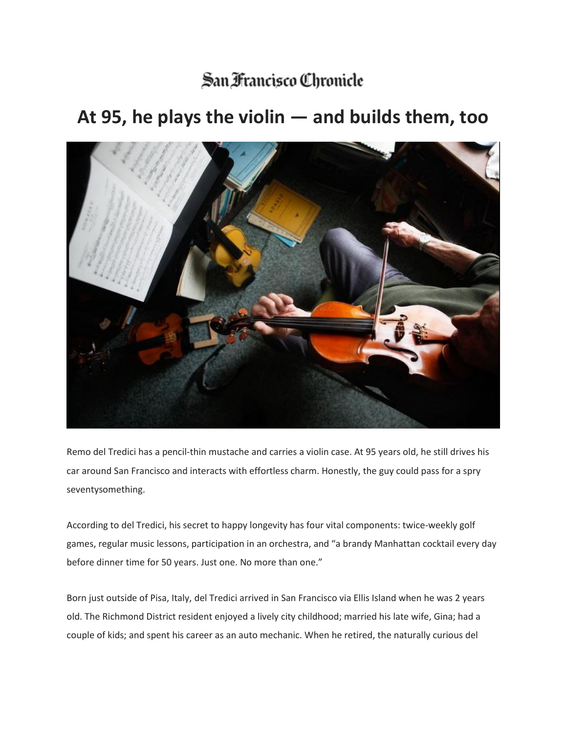## San Francisco Chronicle

## **At 95, he plays the violin — and builds them, too**



Remo del Tredici has a pencil-thin mustache and carries a violin case. At 95 years old, he still drives his car around San Francisco and interacts with effortless charm. Honestly, the guy could pass for a spry seventysomething.

According to del Tredici, his secret to happy longevity has four vital components: twice-weekly golf games, regular music lessons, participation in an orchestra, and "a brandy Manhattan cocktail every day before dinner time for 50 years. Just one. No more than one."

Born just outside of Pisa, Italy, del Tredici arrived in San Francisco via Ellis Island when he was 2 years old. The Richmond District resident enjoyed a lively city childhood; married his late wife, Gina; had a couple of kids; and spent his career as an auto mechanic. When he retired, the naturally curious del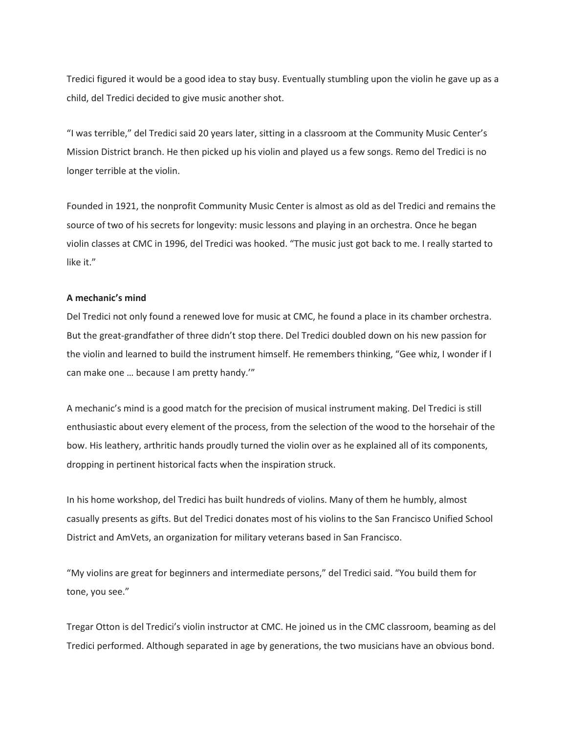Tredici figured it would be a good idea to stay busy. Eventually stumbling upon the violin he gave up as a child, del Tredici decided to give music another shot.

"I was terrible," del Tredici said 20 years later, sitting in a classroom at the Community Music Center's Mission District branch. He then picked up his violin and played us a few songs. Remo del Tredici is no longer terrible at the violin.

Founded in 1921, the nonprofit Community Music Center is almost as old as del Tredici and remains the source of two of his secrets for longevity: music lessons and playing in an orchestra. Once he began violin classes at CMC in 1996, del Tredici was hooked. "The music just got back to me. I really started to like it."

## **A mechanic's mind**

Del Tredici not only found a renewed love for music at CMC, he found a place in its chamber orchestra. But the great-grandfather of three didn't stop there. Del Tredici doubled down on his new passion for the violin and learned to build the instrument himself. He remembers thinking, "Gee whiz, I wonder if I can make one … because I am pretty handy.'"

A mechanic's mind is a good match for the precision of musical instrument making. Del Tredici is still enthusiastic about every element of the process, from the selection of the wood to the horsehair of the bow. His leathery, arthritic hands proudly turned the violin over as he explained all of its components, dropping in pertinent historical facts when the inspiration struck.

In his home workshop, del Tredici has built hundreds of violins. Many of them he humbly, almost casually presents as gifts. But del Tredici donates most of his violins to the San Francisco Unified School District and AmVets, an organization for military veterans based in San Francisco.

"My violins are great for beginners and intermediate persons," del Tredici said. "You build them for tone, you see."

Tregar Otton is del Tredici's violin instructor at CMC. He joined us in the CMC classroom, beaming as del Tredici performed. Although separated in age by generations, the two musicians have an obvious bond.